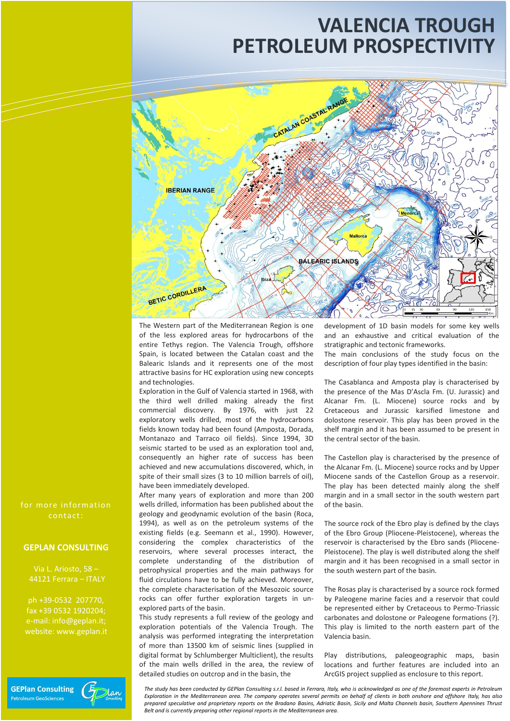# **PETROLEUM PROSPECTIVITY VALENCIA TROUGH**



The Western part of the Mediterranean Region is one of the less explored areas for hydrocarbons of the entire Tethys region. The Valencia Trough, offshore Spain, is located between the Catalan coast and the Balearic Islands and it represents one of the most attractive basins for HC exploration using new concepts and technologies.

Exploration in the Gulf of Valencia started in 1968, with the third well drilled making already the first commercial discovery. By 1976, with just 22 exploratory wells drilled, most of the hydrocarbons fields known today had been found (Amposta, Dorada, Montanazo and Tarraco oil fields). Since 1994, 3D seismic started to be used as an exploration tool and, consequently an higher rate of success has been achieved and new accumulations discovered, which, in spite of their small sizes (3 to 10 million barrels of oil), have been immediately developed.

After many years of exploration and more than 200 wells drilled, information has been published about the geology and geodynamic evolution of the basin (Roca, 1994), as well as on the petroleum systems of the existing fields (e.g. Seemann et al., 1990). However, considering the complex characteristics of the reservoirs, where several processes interact, the complete understanding of the distribution of petrophysical properties and the main pathways for fluid circulations have to be fully achieved. Moreover, the complete characterisation of the Mesozoic source rocks can offer further exploration targets in unexplored parts of the basin.

This study represents a full review of the geology and exploration potentials of the Valencia Trough. The analysis was performed integrating the interpretation of more than 13500 km of seismic lines (supplied in digital format by Schlumberger Multiclient), the results of the main wells drilled in the area, the review of detailed studies on outcrop and in the basin, the

development of 1D basin models for some key wells and an exhaustive and critical evaluation of the stratigraphic and tectonic frameworks.

The main conclusions of the study focus on the description of four play types identified in the basin:

The Casablanca and Amposta play is characterised by the presence of the Mas D'Ascla Fm. (U. Jurassic) and Alcanar Fm. (L. Miocene) source rocks and by Cretaceous and Jurassic karsified limestone and dolostone reservoir. This play has been proved in the shelf margin and it has been assumed to be present in the central sector of the basin.

The Castellon play is characterised by the presence of the Alcanar Fm. (L. Miocene) source rocks and by Upper Miocene sands of the Castellon Group as a reservoir. The play has been detected mainly along the shelf margin and in a small sector in the south western part of the basin.

The source rock of the Ebro play is defined by the clays of the Ebro Group (Pliocene-Pleistocene), whereas the reservoir is characterised by the Ebro sands (Pliocene-Pleistocene). The play is well distributed along the shelf margin and it has been recognised in a small sector in the south western part of the basin.

The Rosas play is characterised by a source rock formed by Paleogene marine facies and a reservoir that could be represented either by Cretaceous to Permo-Triassic carbonates and dolostone or Paleogene formations (?). This play is limited to the north eastern part of the Valencia basin.

Play distributions, paleogeographic maps, basin locations and further features are included into an ArcGIS project supplied as enclosure to this report.

*The study has been conducted by GEPlan Consulting s.r.l. based in Ferrara, Italy, who is acknowledged as one of the foremost experts in Petroleum Exploration in the Mediterranean area. The company operates several permits on behalf of clients in both onshore and offshore Italy, has also prepared speculative and proprietary reports on the Bradano Basins, Adriatic Basin, Sicily and Malta Channels basin, Southern Apennines Thrust Belt and is currently preparing other regional reports in the Mediterranean area.*

for more in formation contact:

## **GEPLAN CONSULTING**

Via L. Ariosto, 58 – 44121 Ferrara – ITALY

ph +39-0532 207770, fax +39 0532 1920204; e-mail: info@geplan.it; website: www.geplan.it